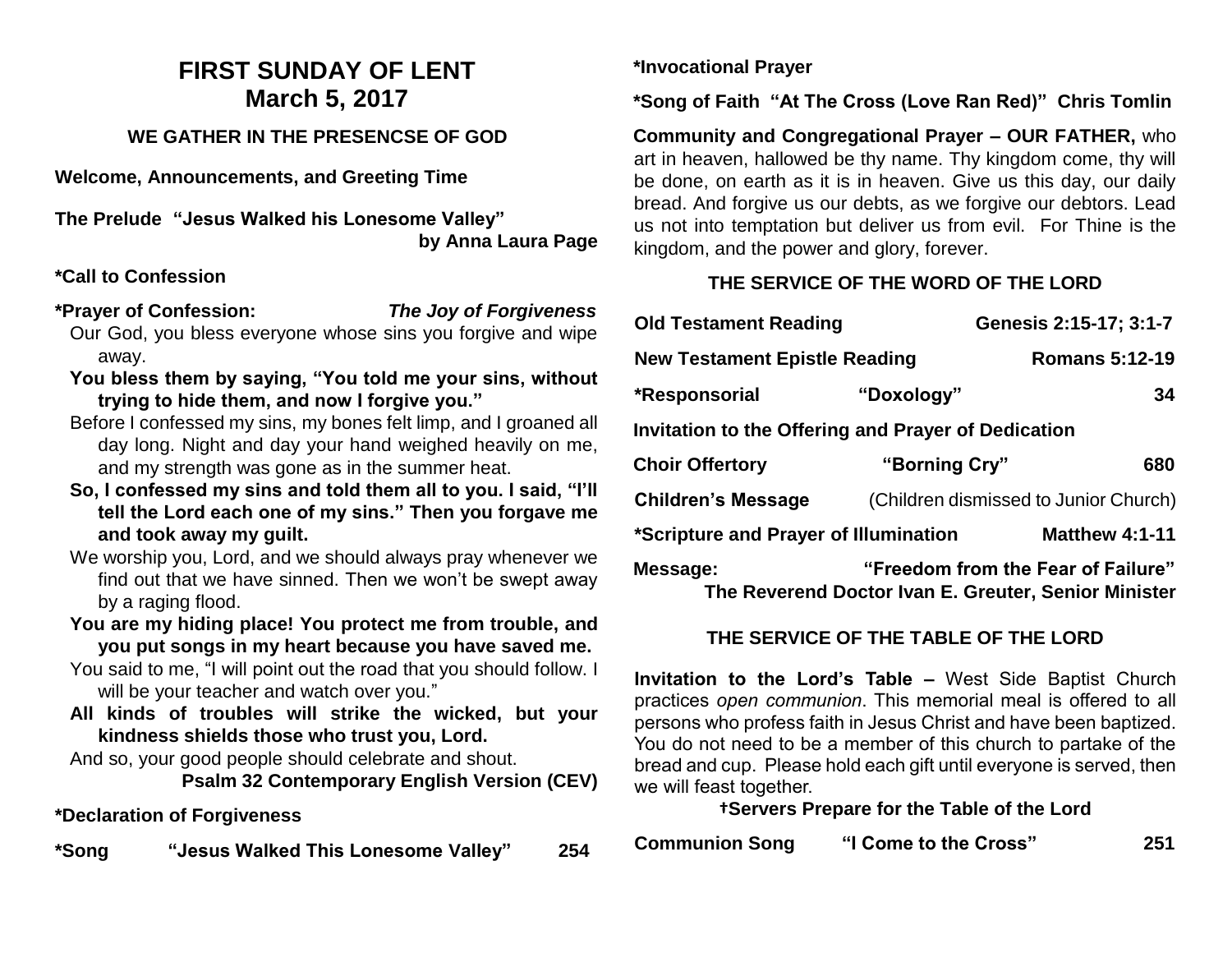# **FIRST SUNDAY OF LENT March 5, 2017**

## **WE GATHER IN THE PRESENCSE OF GOD**

**Welcome, Announcements, and Greeting Time** 

**The Prelude "Jesus Walked his Lonesome Valley" by Anna Laura Page**

#### **\*Call to Confession**

- **\*Prayer of Confession:** *The Joy of Forgiveness* Our God, you bless everyone whose sins you forgive and wipe away.
	- **You bless them by saying, "You told me your sins, without trying to hide them, and now I forgive you."**
	- Before I confessed my sins, my bones felt limp, and I groaned all day long. Night and day your hand weighed heavily on me, and my strength was gone as in the summer heat.
	- **So, I confessed my sins and told them all to you. I said, "I'll tell the Lord each one of my sins." Then you forgave me and took away my guilt.**
	- We worship you, Lord, and we should always pray whenever we find out that we have sinned. Then we won't be swept away by a raging flood.
	- **You are my hiding place! You protect me from trouble, and you put songs in my heart because you have saved me.**
	- You said to me, "I will point out the road that you should follow. I will be your teacher and watch over you."
	- **All kinds of troubles will strike the wicked, but your kindness shields those who trust you, Lord.**

And so, your good people should celebrate and shout.

**Psalm 32 Contemporary English Version (CEV)**

## **\*Declaration of Forgiveness**

**\*Song "Jesus Walked This Lonesome Valley" 254**

**\*Invocational Prayer**

**\*Song of Faith "At The Cross (Love Ran Red)" Chris Tomlin**

**Community and Congregational Prayer – OUR FATHER,** who art in heaven, hallowed be thy name. Thy kingdom come, thy will be done, on earth as it is in heaven. Give us this day, our daily bread. And forgive us our debts, as we forgive our debtors. Lead us not into temptation but deliver us from evil. For Thine is the kingdom, and the power and glory, forever.

## **THE SERVICE OF THE WORD OF THE LORD**

| <b>Old Testament Reading</b>                                                                           |               | Genesis 2:15-17; 3:1-7                |  |  |
|--------------------------------------------------------------------------------------------------------|---------------|---------------------------------------|--|--|
| <b>New Testament Epistle Reading</b>                                                                   |               | <b>Romans 5:12-19</b>                 |  |  |
| *Responsorial                                                                                          | "Doxology"    | 34                                    |  |  |
| <b>Invitation to the Offering and Prayer of Dedication</b>                                             |               |                                       |  |  |
| <b>Choir Offertory</b>                                                                                 | "Borning Cry" | 680                                   |  |  |
| <b>Children's Message</b>                                                                              |               | (Children dismissed to Junior Church) |  |  |
| *Scripture and Prayer of Illumination                                                                  |               | <b>Matthew 4:1-11</b>                 |  |  |
| "Freedom from the Fear of Failure"<br>Message:<br>The Reverend Doctor Ivan E. Greuter, Senior Minister |               |                                       |  |  |

# **THE SERVICE OF THE TABLE OF THE LORD**

**Invitation to the Lord's Table –** West Side Baptist Church practices *open communion*. This memorial meal is offered to all persons who profess faith in Jesus Christ and have been baptized. You do not need to be a member of this church to partake of the bread and cup. Please hold each gift until everyone is served, then we will feast together.

#### **†Servers Prepare for the Table of the Lord**

| <b>Communion Song</b> | "I Come to the Cross" | 251 |
|-----------------------|-----------------------|-----|
|-----------------------|-----------------------|-----|